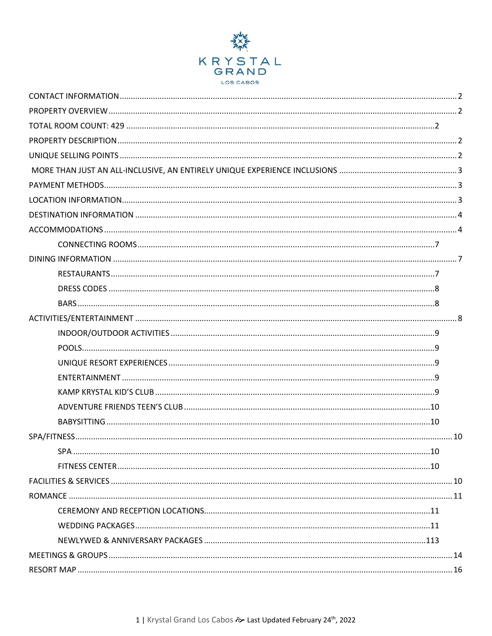

<span id="page-0-0"></span>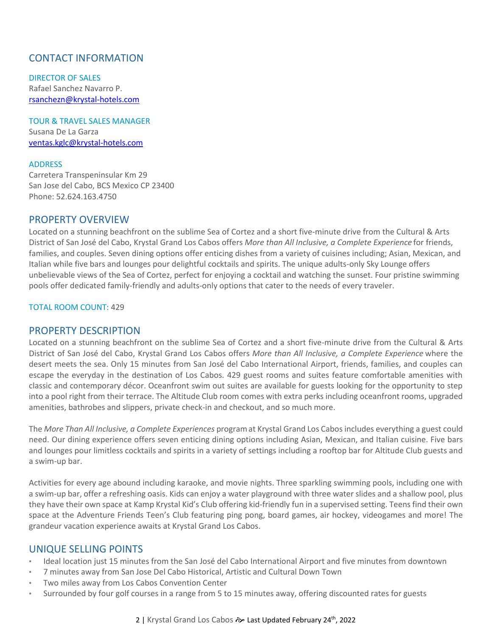# CONTACT INFORMATION

DIRECTOR OF SALES Rafael Sanchez Navarro P. [rsanchezn@krystal-hotels.com](mailto:rsanchezn@krystal-hotels.com)

TOUR & TRAVEL SALES MANAGER Susana De La Garza [ventas.kglc@krystal-hotels.com](mailto:ventas.kglc@krystal-hotels.com)

### ADDRESS

Carretera Transpeninsular Km 29 San Jose del Cabo, BCS Mexico CP 23400 Phone: 52.624.163.4750

## <span id="page-1-0"></span>PROPERTY OVERVIEW

Located on a stunning beachfront on the sublime Sea of Cortez and a short five-minute drive from the Cultural & Arts District of San José del Cabo, Krystal Grand Los Cabos offers *More than All Inclusive, a Complete Experience* for friends, families, and couples. Seven dining options offer enticing dishes from a variety of cuisines including; Asian, Mexican, and Italian while five bars and lounges pour delightful cocktails and spirits. The unique adults-only Sky Lounge offers unbelievable views of the Sea of Cortez, perfect for enjoying a cocktail and watching the sunset. Four pristine swimming pools offer dedicated family-friendly and adults-only options that cater to the needs of every traveler.

#### <span id="page-1-1"></span>TOTAL ROOM COUNT: 429

## <span id="page-1-2"></span>PROPERTY DESCRIPTION

Located on a stunning beachfront on the sublime Sea of Cortez and a short five-minute drive from the Cultural & Arts District of San José del Cabo, Krystal Grand Los Cabos offers *More than All Inclusive, a Complete Experience* where the desert meets the sea. Only 15 minutes from San José del Cabo International Airport, friends, families, and couples can escape the everyday in the destination of Los Cabos. 429 guest rooms and suites feature comfortable amenities with classic and contemporary décor. Oceanfront swim out suites are available for guests looking for the opportunity to step into a pool right from their terrace. The Altitude Club room comes with extra perks including oceanfront rooms, upgraded amenities, bathrobes and slippers, private check-in and checkout, and so much more.

The *More Than All Inclusive, a Complete Experiences* programat Krystal Grand Los Cabos includes everything a guest could need. Our dining experience offers seven enticing dining options including Asian, Mexican, and Italian cuisine. Five bars and lounges pour limitless cocktails and spirits in a variety of settings including a rooftop bar for Altitude Club guests and a swim-up bar.

Activities for every age abound including karaoke, and movie nights. Three sparkling swimming pools, including one with a swim-up bar, offer a refreshing oasis. Kids can enjoy a water playground with three water slides and a shallow pool, plus they have their own space at Kamp Krystal Kid's Club offering kid-friendly fun in a supervised setting. Teens find their own space at the Adventure Friends Teen's Club featuring ping pong, board games, air hockey, videogames and more! The grandeur vacation experience awaits at Krystal Grand Los Cabos.

## <span id="page-1-3"></span>UNIQUE SELLING POINTS

- Ideal location just 15 minutes from the San José del Cabo International Airport and five minutes from downtown
- 7 minutes away from San Jose Del Cabo Historical, Artistic and Cultural Down Town
- Two miles away from Los Cabos Convention Center
- Surrounded by four golf courses in a range from 5 to 15 minutes away, offering discounted rates for guests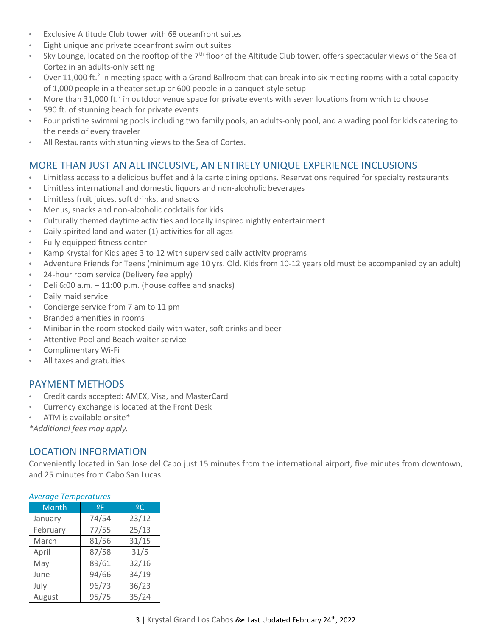- Exclusive Altitude Club tower with 68 oceanfront suites
- Eight unique and private oceanfront swim out suites
- Sky Lounge, located on the rooftop of the 7<sup>th</sup> floor of the Altitude Club tower, offers spectacular views of the Sea of Cortez in an adults-only setting
- Over 11,000 ft.<sup>2</sup> in meeting space with a Grand Ballroom that can break into six meeting rooms with a total capacity of 1,000 people in a theater setup or 600 people in a banquet-style setup
- More than 31,000 ft.<sup>2</sup> in outdoor venue space for private events with seven locations from which to choose
- 590 ft. of stunning beach for private events
- Four pristine swimming pools including two family pools, an adults-only pool, and a wading pool for kids catering to the needs of every traveler
- All Restaurants with stunning views to the Sea of Cortes.

# MORE THAN JUST AN ALL INCLUSIVE, AN ENTIRELY UNIQUE EXPERIENCE INCLUSIONS

- Limitless access to a delicious buffet and à la carte dining options. Reservations required for specialty restaurants
- Limitless international and domestic liquors and non-alcoholic beverages
- Limitless fruit juices, soft drinks, and snacks
- Menus, snacks and non-alcoholic cocktails for kids
- Culturally themed daytime activities and locally inspired nightly entertainment
- Daily spirited land and water (1) activities for all ages
- Fully equipped fitness center
- Kamp Krystal for Kids ages 3 to 12 with supervised daily activity programs
- Adventure Friends for Teens (minimum age 10 yrs. Old. Kids from 10-12 years old must be accompanied by an adult)
- 24-hour room service (Delivery fee apply)
- Deli  $6:00$  a.m.  $-11:00$  p.m. (house coffee and snacks)
- Daily maid service
- Concierge service from 7 am to 11 pm
- Branded amenities in rooms
- Minibar in the room stocked daily with water, soft drinks and beer
- Attentive Pool and Beach waiter service
- Complimentary Wi-Fi
- All taxes and gratuities

## <span id="page-2-0"></span>PAYMENT METHODS

- Credit cards accepted: AMEX, Visa, and MasterCard
- Currency exchange is located at the Front Desk
- ATM is available onsite\*

*\*Additional fees may apply.*

# <span id="page-2-1"></span>LOCATION INFORMATION

Conveniently located in San Jose del Cabo just 15 minutes from the international airport, five minutes from downtown, and 25 minutes from Cabo San Lucas.

| <b>Month</b> | 9F    | 2C    |  |  |
|--------------|-------|-------|--|--|
| January      | 74/54 | 23/12 |  |  |
| February     | 77/55 | 25/13 |  |  |
| March        | 81/56 | 31/15 |  |  |
| April        | 87/58 | 31/5  |  |  |
| May          | 89/61 | 32/16 |  |  |
| June         | 94/66 | 34/19 |  |  |
| July         | 96/73 | 36/23 |  |  |
| August       | 95/75 | 35/24 |  |  |

## *Average Temperatures*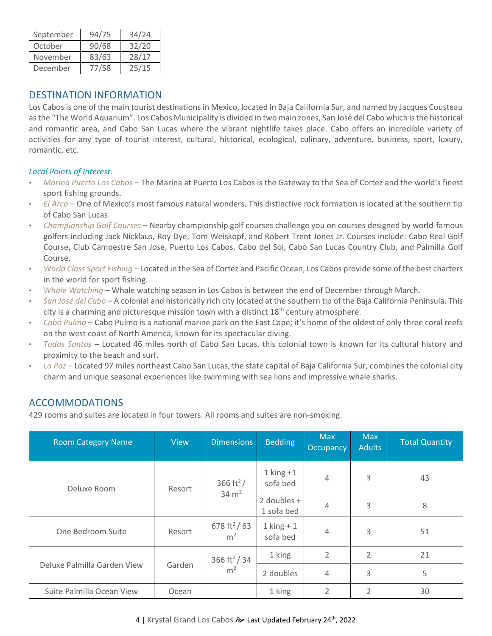| September | 94/75 | 34/24 |
|-----------|-------|-------|
| October   | 90/68 | 32/20 |
| November  | 83/63 | 28/17 |
| December  | 77/58 | 25/15 |

## <span id="page-3-0"></span>DESTINATION INFORMATION

Los Cabos is one of the main tourist destinations in Mexico, located in Baja California Sur, and named by Jacques Cousteau as the "The World Aquarium". Los Cabos Municipality is divided in two main zones, San José del Cabo which is the historical and romantic area, and Cabo San Lucas where the vibrant nightlife takes place. Cabo offers an incredible variety of activities for any type of tourist interest, cultural, historical, ecological, culinary, adventure, business, sport, luxury, romantic, etc.

## *Local Points of Interest:*

- *Marina Puerto Los Cabos* The Marina at Puerto Los Cabos is the Gateway to the Sea of Cortez and the world's finest sport fishing grounds.
- *El Arco*  One of Mexico's most famous natural wonders. This distinctive rock formation is located at the southern tip of Cabo San Lucas.
- *Championship Golf Courses*  Nearby championship golf courses challenge you on courses designed by world-famous golfers including Jack Nicklaus, Roy Dye, Tom Weiskopf, and Robert Trent Jones Jr. Courses include: Cabo Real Golf Course, Club Campestre San Jose, Puerto Los Cabos, Cabo del Sol, Cabo San Lucas Country Club, and Palmilla Golf Course.
- *World Class Sport Fishing*  Located in the Sea of Cortez and Pacific Ocean, Los Cabos provide some of the best charters in the world for sport fishing.
- *Whale Watching*  Whale watching season in Los Cabos is between the end of December through March.
- *San José del Cabo*  A colonial and historically rich city located at the southern tip of the Baja California Peninsula. This city is a charming and picturesque mission town with a distinct  $18<sup>th</sup>$  century atmosphere.
- *Cabo Pulmo* Cabo Pulmo is a national marine park on the East Cape; it's home of the oldest of only three coral reefs on the west coast of North America, known for its spectacular diving.
- *Todos Santos*  Located 46 miles north of Cabo San Lucas, this colonial town is known for its cultural history and proximity to the beach and surf.
- *La Paz* Located 97 miles northeast Cabo San Lucas, the state capital of Baja California Sur, combines the colonial city charm and unique seasonal experiences like swimming with sea lions and impressive whale sharks.

# <span id="page-3-1"></span>ACCOMMODATIONS

429 rooms and suites are located in four towers. All rooms and suites are non-smoking.

| <b>Room Category Name</b>   | <b>View</b> | <b>Dimensions</b>                          | <b>Bedding</b>            | <b>Max</b><br>Occupancy | <b>Max</b><br><b>Adults</b> | <b>Total Quantity</b> |
|-----------------------------|-------------|--------------------------------------------|---------------------------|-------------------------|-----------------------------|-----------------------|
| Deluxe Room                 | Resort      | 366 ft <sup>2</sup> /<br>$34 \text{ m}^2$  | $1$ king $+1$<br>sofa bed | $\overline{4}$          | 3                           | 43                    |
|                             |             |                                            | 2 doubles +<br>1 sofa bed | $\overline{4}$          | 3                           | 8                     |
| One Bedroom Suite           | Resort      | 678 ft <sup>2</sup> /63<br>m <sup>2</sup>  | $1$ king + 1<br>sofa bed  | 4                       | 3                           | 51                    |
| Deluxe Palmilla Garden View | Garden      | 366 ft <sup>2</sup> / 34<br>m <sup>2</sup> | 1 king                    | 2                       | $\overline{2}$              | 21                    |
|                             |             |                                            | 2 doubles                 | 4                       | 3                           | 5                     |
| Suite Palmilla Ocean View   | Ocean       |                                            | 1 king                    | $\overline{2}$          | $\overline{2}$              | 30                    |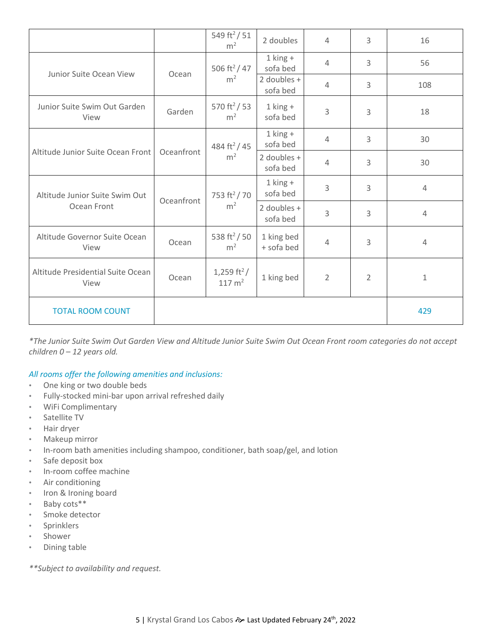|                                               |            | 549 ft <sup>2</sup> / 51<br>m <sup>2</sup>   | 2 doubles                | 4              | 3              | 16             |
|-----------------------------------------------|------------|----------------------------------------------|--------------------------|----------------|----------------|----------------|
|                                               | Ocean      | 506 ft <sup>2</sup> / 47<br>m <sup>2</sup>   | $1$ king $+$<br>sofa bed | 4              | 3              | 56             |
| Junior Suite Ocean View                       |            |                                              | 2 doubles +<br>sofa bed  | 4              | 3              | 108            |
| Junior Suite Swim Out Garden<br>View          | Garden     | 570 ft <sup>2</sup> / 53<br>m <sup>2</sup>   | $1$ king $+$<br>sofa bed | 3              | 3              | 18             |
|                                               | Oceanfront | 484 ft <sup>2</sup> / 45<br>m <sup>2</sup>   | $1$ king $+$<br>sofa bed | $\overline{4}$ | 3              | 30             |
| Altitude Junior Suite Ocean Front             |            |                                              | 2 doubles +<br>sofa bed  | $\overline{4}$ | 3              | 30             |
| Altitude Junior Suite Swim Out<br>Ocean Front | Oceanfront | 753 ft <sup>2</sup> / 70<br>m <sup>2</sup>   | $1$ king $+$<br>sofa bed | 3              | $\overline{3}$ | $\overline{4}$ |
|                                               |            |                                              | 2 doubles +<br>sofa bed  | 3              | 3              | $\overline{4}$ |
| Altitude Governor Suite Ocean<br>View         | Ocean      | 538 ft <sup>2</sup> /50<br>m <sup>2</sup>    | 1 king bed<br>+ sofa bed | 4              | 3              | $\overline{4}$ |
| Altitude Presidential Suite Ocean<br>View     | Ocean      | 1,259 ft <sup>2</sup> /<br>$117 \text{ m}^2$ | 1 king bed               | $\overline{2}$ | $\overline{2}$ | 1              |
| <b>TOTAL ROOM COUNT</b>                       |            |                                              |                          |                |                | 429            |

*\*The Junior Suite Swim Out Garden View and Altitude Junior Suite Swim Out Ocean Front room categories do not accept children 0 – 12 years old.* 

## *All rooms offer the following amenities and inclusions:*

- One king or two double beds
- Fully-stocked mini-bar upon arrival refreshed daily
- WiFi Complimentary
- Satellite TV
- Hair dryer
- Makeup mirror
- In-room bath amenities including shampoo, conditioner, bath soap/gel, and lotion
- Safe deposit box
- In-room coffee machine
- Air conditioning
- Iron & Ironing board
- Baby cots\*\*
- Smoke detector
- **Sprinklers**
- **Shower**
- Dining table

*\*\*Subject to availability and request.*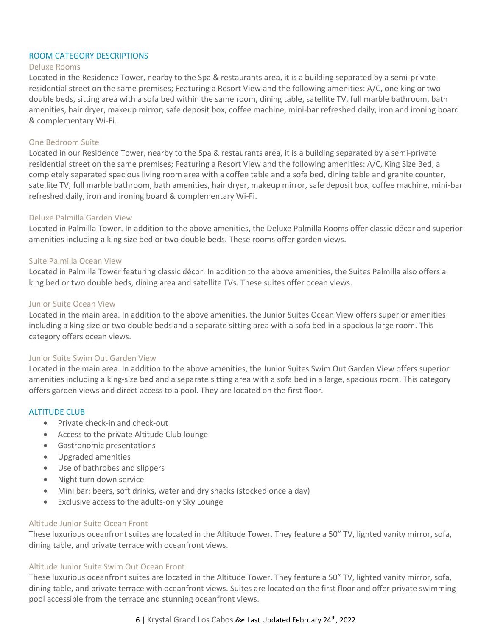#### ROOM CATEGORY DESCRIPTIONS

#### Deluxe Rooms

Located in the Residence Tower, nearby to the Spa & restaurants area, it is a building separated by a semi-private residential street on the same premises; Featuring a Resort View and the following amenities: A/C, one king or two double beds, sitting area with a sofa bed within the same room, dining table, satellite TV, full marble bathroom, bath amenities, hair dryer, makeup mirror, safe deposit box, coffee machine, mini-bar refreshed daily, iron and ironing board & complementary Wi-Fi.

#### One Bedroom Suite

Located in our Residence Tower, nearby to the Spa & restaurants area, it is a building separated by a semi-private residential street on the same premises; Featuring a Resort View and the following amenities: A/C, King Size Bed, a completely separated spacious living room area with a coffee table and a sofa bed, dining table and granite counter, satellite TV, full marble bathroom, bath amenities, hair dryer, makeup mirror, safe deposit box, coffee machine, mini-bar refreshed daily, iron and ironing board & complementary Wi-Fi.

#### Deluxe Palmilla Garden View

Located in Palmilla Tower. In addition to the above amenities, the Deluxe Palmilla Rooms offer classic décor and superior amenities including a king size bed or two double beds. These rooms offer garden views.

#### Suite Palmilla Ocean View

Located in Palmilla Tower featuring classic décor. In addition to the above amenities, the Suites Palmilla also offers a king bed or two double beds, dining area and satellite TVs. These suites offer ocean views.

#### Junior Suite Ocean View

Located in the main area. In addition to the above amenities, the Junior Suites Ocean View offers superior amenities including a king size or two double beds and a separate sitting area with a sofa bed in a spacious large room. This category offers ocean views.

### Junior Suite Swim Out Garden View

Located in the main area. In addition to the above amenities, the Junior Suites Swim Out Garden View offers superior amenities including a king-size bed and a separate sitting area with a sofa bed in a large, spacious room. This category offers garden views and direct access to a pool. They are located on the first floor.

#### ALTITUDE CLUB

- Private check-in and check-out
- Access to the private Altitude Club lounge
- Gastronomic presentations
- Upgraded amenities
- Use of bathrobes and slippers
- Night turn down service
- Mini bar: beers, soft drinks, water and dry snacks (stocked once a day)
- Exclusive access to the adults-only Sky Lounge

#### Altitude Junior Suite Ocean Front

These luxurious oceanfront suites are located in the Altitude Tower. They feature a 50" TV, lighted vanity mirror, sofa, dining table, and private terrace with oceanfront views.

#### Altitude Junior Suite Swim Out Ocean Front

These luxurious oceanfront suites are located in the Altitude Tower. They feature a 50" TV, lighted vanity mirror, sofa, dining table, and private terrace with oceanfront views. Suites are located on the first floor and offer private swimming pool accessible from the terrace and stunning oceanfront views.

## 6 | Krystal Grand Los Cabos � Last Updated February 24<sup>th</sup>, 2022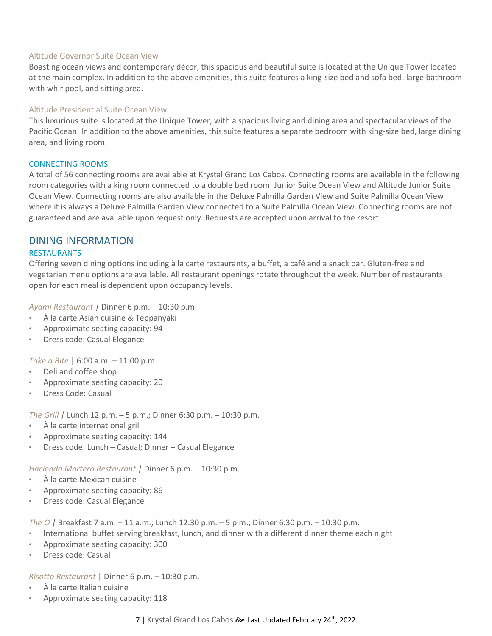#### Altitude Governor Suite Ocean View

Boasting ocean views and contemporary décor, this spacious and beautiful suite is located at the Unique Tower located at the main complex. In addition to the above amenities, this suite features a king-size bed and sofa bed, large bathroom with whirlpool, and sitting area.

## Altitude Presidential Suite Ocean View

This luxurious suite is located at the Unique Tower, with a spacious living and dining area and spectacular views of the Pacific Ocean. In addition to the above amenities, this suite features a separate bedroom with king-size bed, large dining area, and living room.

### <span id="page-6-0"></span>CONNECTING ROOMS

A total of 56 connecting rooms are available at Krystal Grand Los Cabos. Connecting rooms are available in the following room categories with a king room connected to a double bed room: Junior Suite Ocean View and Altitude Junior Suite Ocean View. Connecting rooms are also available in the Deluxe Palmilla Garden View and Suite Palmilla Ocean View where it is always a Deluxe Palmilla Garden View connected to a Suite Palmilla Ocean View. Connecting rooms are not guaranteed and are available upon request only. Requests are accepted upon arrival to the resort.

# <span id="page-6-1"></span>DINING INFORMATION

### <span id="page-6-2"></span>RESTAURANTS

Offering seven dining options including à la carte restaurants, a buffet, a café and a snack bar. Gluten-free and vegetarian menu options are available. All restaurant openings rotate throughout the week. Number of restaurants open for each meal is dependent upon occupancy levels.

*Ayami Restaurant |* Dinner 6 p.m. – 10:30 p.m.

- À la carte Asian cuisine & Teppanyaki
- Approximate seating capacity: 94
- Dress code: Casual Elegance

*Take a Bite* | 6:00 a.m. – 11:00 p.m.

- Deli and coffee shop
- Approximate seating capacity: 20
- Dress Code: Casual

*The Grill |* Lunch 12 p.m. – 5 p.m.; Dinner 6:30 p.m. – 10:30 p.m.

- À la carte international grill
- Approximate seating capacity: 144
- Dress code: Lunch Casual; Dinner Casual Elegance

*Hacienda Mortero Restaurant |* Dinner 6 p.m. – 10:30 p.m.

- À la carte Mexican cuisine
- Approximate seating capacity: 86
- Dress code: Casual Elegance

*The O |* Breakfast 7 a.m. – 11 a.m.; Lunch 12:30 p.m. – 5 p.m.; Dinner 6:30 p.m. – 10:30 p.m.

- International buffet serving breakfast, lunch, and dinner with a different dinner theme each night
- Approximate seating capacity: 300
- Dress code: Casual

*Risotto Restaurant* | Dinner 6 p.m. – 10:30 p.m.

- À la carte Italian cuisine
- Approximate seating capacity: 118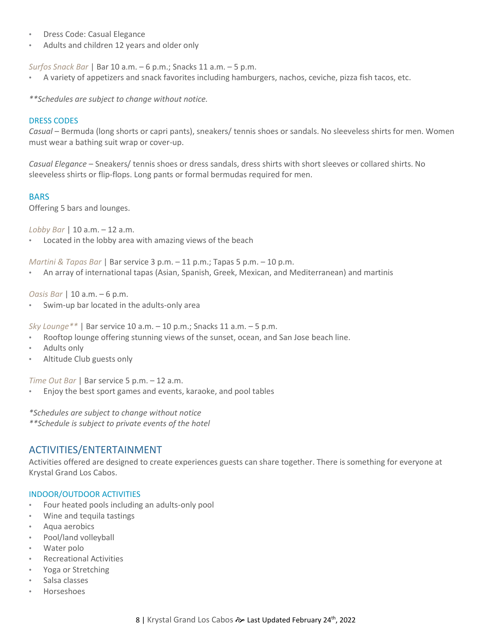- Dress Code: Casual Elegance
- Adults and children 12 years and older only

*Surfos Snack Bar* | Bar 10 a.m. – 6 p.m.; Snacks 11 a.m. – 5 p.m.

• A variety of appetizers and snack favorites including hamburgers, nachos, ceviche, pizza fish tacos, etc.

*\*\*Schedules are subject to change without notice.* 

#### <span id="page-7-0"></span>DRESS CODES

*Casual* – Bermuda (long shorts or capri pants), sneakers/ tennis shoes or sandals. No sleeveless shirts for men. Women must wear a bathing suit wrap or cover-up.

*Casual Elegance* – Sneakers/ tennis shoes or dress sandals, dress shirts with short sleeves or collared shirts. No sleeveless shirts or flip-flops. Long pants or formal bermudas required for men.

#### <span id="page-7-1"></span>BARS

Offering 5 bars and lounges.

*Lobby Bar* | 10 a.m. – 12 a.m.

Located in the lobby area with amazing views of the beach

*Martini & Tapas Bar* | Bar service 3 p.m. – 11 p.m.; Tapas 5 p.m. – 10 p.m.

• An array of international tapas (Asian, Spanish, Greek, Mexican, and Mediterranean) and martinis

*Oasis Bar* | 10 a.m. – 6 p.m.

Swim-up bar located in the adults-only area

*Sky Lounge\*\** | Bar service 10 a.m. – 10 p.m.; Snacks 11 a.m. – 5 p.m.

- Rooftop lounge offering stunning views of the sunset, ocean, and San Jose beach line.
- Adults only
- Altitude Club guests only

*Time Out Bar* | Bar service 5 p.m. – 12 a.m.

• Enjoy the best sport games and events, karaoke, and pool tables

*\*Schedules are subject to change without notice*

*\*\*Schedule is subject to private events of the hotel*

## <span id="page-7-2"></span>ACTIVITIES/ENTERTAINMENT

Activities offered are designed to create experiences guests can share together. There is something for everyone at Krystal Grand Los Cabos.

### <span id="page-7-3"></span>INDOOR/OUTDOOR ACTIVITIES

- Four heated pools including an adults-only pool
- Wine and tequila tastings
- Aqua aerobics
- Pool/land volleyball
- Water polo
- Recreational Activities
- Yoga or Stretching
- Salsa classes
- Horseshoes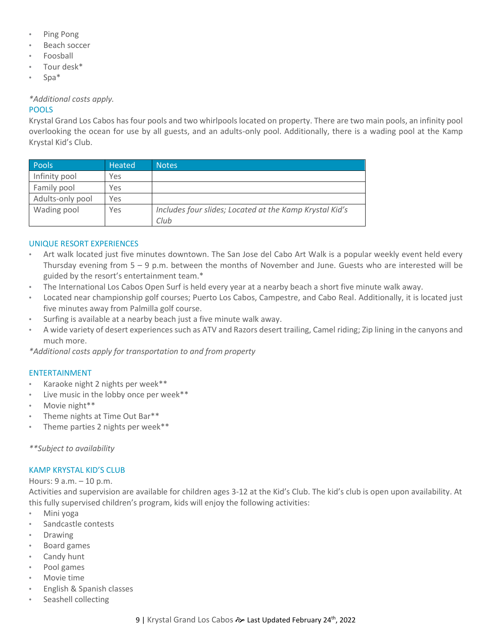- Ping Pong
- Beach soccer
- Foosball
- Tour desk\*
- Spa\*

*\*Additional costs apply.*

## <span id="page-8-0"></span>POOLS

Krystal Grand Los Cabos has four pools and two whirlpools located on property. There are two main pools, an infinity pool overlooking the ocean for use by all guests, and an adults-only pool. Additionally, there is a wading pool at the Kamp Krystal Kid's Club.

| <b>Pools</b>     | <b>Heated</b> | <b>Notes</b>                                                    |
|------------------|---------------|-----------------------------------------------------------------|
| Infinity pool    | Yes           |                                                                 |
| Family pool      | Yes           |                                                                 |
| Adults-only pool | Yes           |                                                                 |
| Wading pool      | Yes           | Includes four slides; Located at the Kamp Krystal Kid's<br>Club |

## <span id="page-8-1"></span>UNIQUE RESORT EXPERIENCES

- Art walk located just five minutes downtown. The San Jose del Cabo Art Walk is a popular weekly event held every Thursday evening from  $5 - 9$  p.m. between the months of November and June. Guests who are interested will be guided by the resort's entertainment team.\*
- The International Los Cabos Open Surf is held every year at a nearby beach a short five minute walk away.
- Located near championship golf courses; Puerto Los Cabos, Campestre, and Cabo Real. Additionally, it is located just five minutes away from Palmilla golf course.
- Surfing is available at a nearby beach just a five minute walk away.
- A wide variety of desert experiences such as ATV and Razors desert trailing, Camel riding; Zip lining in the canyons and much more.

*\*Additional costs apply for transportation to and from property*

### <span id="page-8-2"></span>ENTERTAINMENT

- Karaoke night 2 nights per week\*\*
- Live music in the lobby once per week\*\*
- Movie night\*\*
- Theme nights at Time Out Bar\*\*
- Theme parties 2 nights per week\*\*

*\*\*Subject to availability* 

### <span id="page-8-3"></span>KAMP KRYSTAL KID'S CLUB

Hours: 9 a.m. – 10 p.m.

Activities and supervision are available for children ages 3-12 at the Kid's Club. The kid's club is open upon availability. At this fully supervised children's program, kids will enjoy the following activities:

- Mini yoga
- Sandcastle contests
- Drawing
- Board games
- Candy hunt
- Pool games
- Movie time
- English & Spanish classes
- Seashell collecting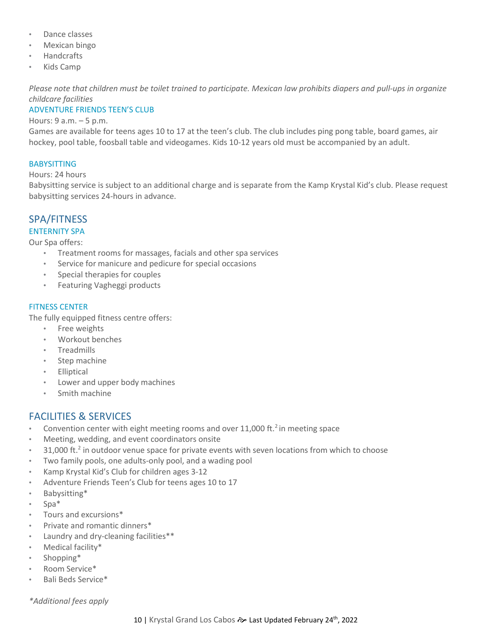- Dance classes
- Mexican bingo
- Handcrafts
- Kids Camp

*Please note that children must be toilet trained to participate. Mexican law prohibits diapers and pull-ups in organize childcare facilities*

## <span id="page-9-0"></span>ADVENTURE FRIENDS TEEN'S CLUB

#### Hours: 9 a.m. – 5 p.m.

Games are available for teens ages 10 to 17 at the teen's club. The club includes ping pong table, board games, air hockey, pool table, foosball table and videogames. Kids 10-12 years old must be accompanied by an adult.

## <span id="page-9-1"></span>BABYSITTING

#### Hours: 24 hours

Babysitting service is subject to an additional charge and is separate from the Kamp Krystal Kid's club. Please request babysitting services 24-hours in advance.

# <span id="page-9-2"></span>SPA/FITNESS

## ENTERNITY SPA

Our Spa offers:

- Treatment rooms for massages, facials and other spa services
- Service for manicure and pedicure for special occasions
- Special therapies for couples
- Featuring Vagheggi products

## <span id="page-9-3"></span>FITNESS CENTER

The fully equipped fitness centre offers:

- Free weights
- Workout benches
- Treadmills
- Step machine
- Elliptical
- Lower and upper body machines
- Smith machine

# <span id="page-9-4"></span>FACILITIES & SERVICES

- Convention center with eight meeting rooms and over 11,000 ft. $2$  in meeting space
- Meeting, wedding, and event coordinators onsite
- 31,000 ft.<sup>2</sup> in outdoor venue space for private events with seven locations from which to choose
- Two family pools, one adults-only pool, and a wading pool
- Kamp Krystal Kid's Club for children ages 3-12
- Adventure Friends Teen's Club for teens ages 10 to 17
- Babysitting\*
- Spa\*
- Tours and excursions\*
- Private and romantic dinners\*
- Laundry and dry-cleaning facilities\*\*
- Medical facility\*
- Shopping\*
- Room Service\*
- Bali Beds Service\*

*\*Additional fees apply*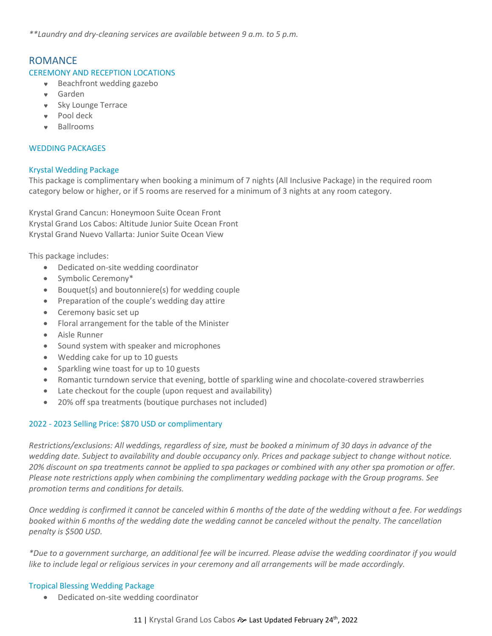<span id="page-10-0"></span>*\*\*Laundry and dry-cleaning services are available between 9 a.m. to 5 p.m.* 

## ROMANCE

#### <span id="page-10-1"></span>CEREMONY AND RECEPTION LOCATIONS

- Beachfront wedding gazebo
- Garden
- **v** Sky Lounge Terrace
- Pool deck
- Ballrooms

#### <span id="page-10-2"></span>WEDDING PACKAGES

#### Krystal Wedding Package

This package is complimentary when booking a minimum of 7 nights (All Inclusive Package) in the required room category below or higher, or if 5 rooms are reserved for a minimum of 3 nights at any room category.

Krystal Grand Cancun: Honeymoon Suite Ocean Front Krystal Grand Los Cabos: Altitude Junior Suite Ocean Front Krystal Grand Nuevo Vallarta: Junior Suite Ocean View

This package includes:

- Dedicated on-site wedding coordinator
- Symbolic Ceremony\*
- Bouquet(s) and boutonniere(s) for wedding couple
- Preparation of the couple's wedding day attire
- Ceremony basic set up
- Floral arrangement for the table of the Minister
- Aisle Runner
- Sound system with speaker and microphones
- Wedding cake for up to 10 guests
- Sparkling wine toast for up to 10 guests
- Romantic turndown service that evening, bottle of sparkling wine and chocolate-covered strawberries
- Late checkout for the couple (upon request and availability)
- 20% off spa treatments (boutique purchases not included)

### 2022 - 2023 Selling Price: \$870 USD or complimentary

*Restrictions/exclusions: All weddings, regardless of size, must be booked a minimum of 30 days in advance of the wedding date. Subject to availability and double occupancy only. Prices and package subject to change without notice. 20% discount on spa treatments cannot be applied to spa packages or combined with any other spa promotion or offer. Please note restrictions apply when combining the complimentary wedding package with the Group programs. See promotion terms and conditions for details.*

*Once wedding is confirmed it cannot be canceled within 6 months of the date of the wedding without a fee. For weddings booked within 6 months of the wedding date the wedding cannot be canceled without the penalty. The cancellation penalty is \$500 USD.*

*\*Due to a government surcharge, an additional fee will be incurred. Please advise the wedding coordinator if you would like to include legal or religious services in your ceremony and all arrangements will be made accordingly.*

#### Tropical Blessing Wedding Package

• Dedicated on-site wedding coordinator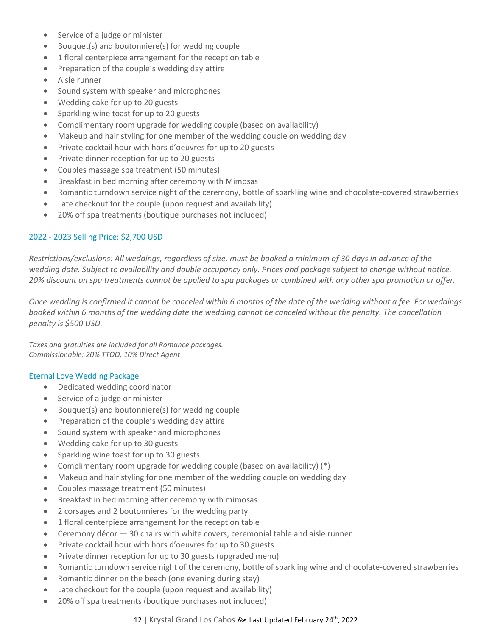- Service of a judge or minister
- Bouquet(s) and boutonniere(s) for wedding couple
- 1 floral centerpiece arrangement for the reception table
- Preparation of the couple's wedding day attire
- Aisle runner
- Sound system with speaker and microphones
- Wedding cake for up to 20 guests
- Sparkling wine toast for up to 20 guests
- Complimentary room upgrade for wedding couple (based on availability)
- Makeup and hair styling for one member of the wedding couple on wedding day
- Private cocktail hour with hors d'oeuvres for up to 20 guests
- Private dinner reception for up to 20 guests
- Couples massage spa treatment (50 minutes)
- Breakfast in bed morning after ceremony with Mimosas
- Romantic turndown service night of the ceremony, bottle of sparkling wine and chocolate-covered strawberries
- Late checkout for the couple (upon request and availability)
- 20% off spa treatments (boutique purchases not included)

## 2022 - 2023 Selling Price: \$2,700 USD

*Restrictions/exclusions: All weddings, regardless of size, must be booked a minimum of 30 days in advance of the wedding date. Subject to availability and double occupancy only. Prices and package subject to change without notice. 20% discount on spa treatments cannot be applied to spa packages or combined with any other spa promotion or offer.*

*Once wedding is confirmed it cannot be canceled within 6 months of the date of the wedding without a fee. For weddings booked within 6 months of the wedding date the wedding cannot be canceled without the penalty. The cancellation penalty is \$500 USD.*

*Taxes and gratuities are included for all Romance packages. Commissionable: 20% TTOO, 10% Direct Agent*

### Eternal Love Wedding Package

- Dedicated wedding coordinator
- Service of a judge or minister
- Bouquet(s) and boutonniere(s) for wedding couple
- Preparation of the couple's wedding day attire
- Sound system with speaker and microphones
- Wedding cake for up to 30 guests
- Sparkling wine toast for up to 30 guests
- Complimentary room upgrade for wedding couple (based on availability) (\*)
- Makeup and hair styling for one member of the wedding couple on wedding day
- Couples massage treatment (50 minutes)
- Breakfast in bed morning after ceremony with mimosas
- 2 corsages and 2 boutonnieres for the wedding party
- 1 floral centerpiece arrangement for the reception table
- Ceremony décor  $-30$  chairs with white covers, ceremonial table and aisle runner
- Private cocktail hour with hors d'oeuvres for up to 30 guests
- Private dinner reception for up to 30 guests (upgraded menu)
- Romantic turndown service night of the ceremony, bottle of sparkling wine and chocolate-covered strawberries
- Romantic dinner on the beach (one evening during stay)
- Late checkout for the couple (upon request and availability)
- 20% off spa treatments (boutique purchases not included)

## 12 | Krystal Grand Los Cabos & Last Updated February 24<sup>th</sup>, 2022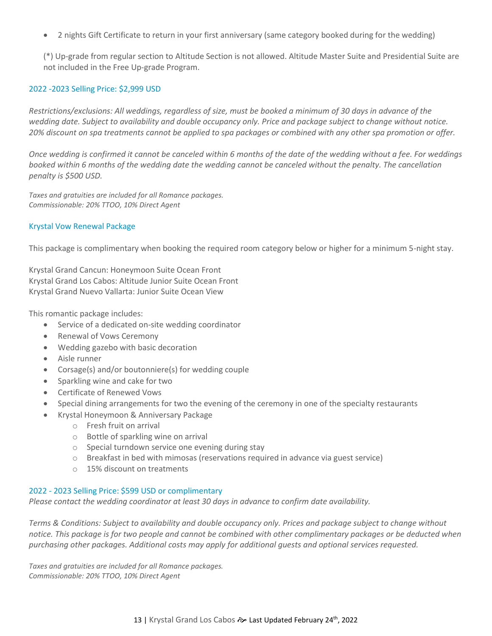• 2 nights Gift Certificate to return in your first anniversary (same category booked during for the wedding)

(\*) Up-grade from regular section to Altitude Section is not allowed. Altitude Master Suite and Presidential Suite are not included in the Free Up-grade Program.

#### 2022 -2023 Selling Price: \$2,999 USD

*Restrictions/exclusions: All weddings, regardless of size, must be booked a minimum of 30 days in advance of the wedding date. Subject to availability and double occupancy only. Price and package subject to change without notice. 20% discount on spa treatments cannot be applied to spa packages or combined with any other spa promotion or offer.*

*Once wedding is confirmed it cannot be canceled within 6 months of the date of the wedding without a fee. For weddings booked within 6 months of the wedding date the wedding cannot be canceled without the penalty. The cancellation penalty is \$500 USD.*

*Taxes and gratuities are included for all Romance packages. Commissionable: 20% TTOO, 10% Direct Agent*

#### Krystal Vow Renewal Package

This package is complimentary when booking the required room category below or higher for a minimum 5-night stay.

Krystal Grand Cancun: Honeymoon Suite Ocean Front Krystal Grand Los Cabos: Altitude Junior Suite Ocean Front Krystal Grand Nuevo Vallarta: Junior Suite Ocean View

This romantic package includes:

- Service of a dedicated on-site wedding coordinator
- Renewal of Vows Ceremony
- Wedding gazebo with basic decoration
- Aisle runner
- Corsage(s) and/or boutonniere(s) for wedding couple
- Sparkling wine and cake for two
- Certificate of Renewed Vows
- Special dining arrangements for two the evening of the ceremony in one of the specialty restaurants
- Krystal Honeymoon & Anniversary Package
	- o Fresh fruit on arrival
	- o Bottle of sparkling wine on arrival
	- o Special turndown service one evening during stay
	- $\circ$  Breakfast in bed with mimosas (reservations required in advance via guest service)
	- o 15% discount on treatments

#### 2022 - 2023 Selling Price: \$599 USD or complimentary

*Please contact the wedding coordinator at least 30 days in advance to confirm date availability.*

*Terms & Conditions: Subject to availability and double occupancy only. Prices and package subject to change without notice. This package is for two people and cannot be combined with other complimentary packages or be deducted when purchasing other packages. Additional costs may apply for additional guests and optional services requested.*

*Taxes and gratuities are included for all Romance packages. Commissionable: 20% TTOO, 10% Direct Agent*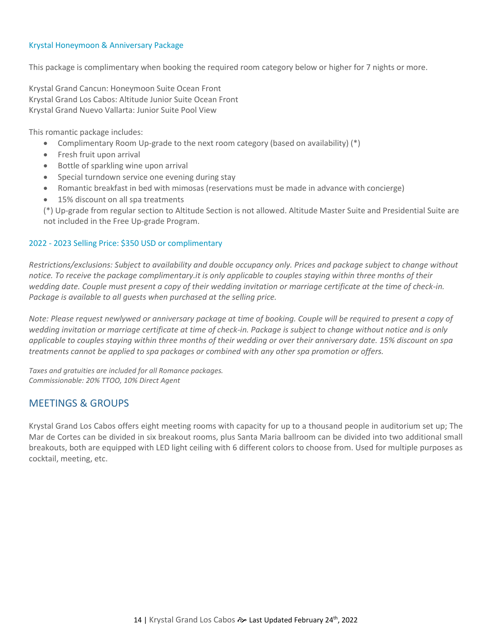#### Krystal Honeymoon & Anniversary Package

This package is complimentary when booking the required room category below or higher for 7 nights or more.

Krystal Grand Cancun: Honeymoon Suite Ocean Front Krystal Grand Los Cabos: Altitude Junior Suite Ocean Front Krystal Grand Nuevo Vallarta: Junior Suite Pool View

This romantic package includes:

- Complimentary Room Up-grade to the next room category (based on availability) (\*)
- Fresh fruit upon arrival
- Bottle of sparkling wine upon arrival
- Special turndown service one evening during stay
- Romantic breakfast in bed with mimosas (reservations must be made in advance with concierge)
- 15% discount on all spa treatments

(\*) Up-grade from regular section to Altitude Section is not allowed. Altitude Master Suite and Presidential Suite are not included in the Free Up-grade Program.

### 2022 - 2023 Selling Price: \$350 USD or complimentary

*Restrictions/exclusions: Subject to availability and double occupancy only. Prices and package subject to change without notice. To receive the package complimentary.it is only applicable to couples staying within three months of their wedding date. Couple must present a copy of their wedding invitation or marriage certificate at the time of check-in. Package is available to all guests when purchased at the selling price.*

*Note: Please request newlywed or anniversary package at time of booking. Couple will be required to present a copy of wedding invitation or marriage certificate at time of check-in. Package is subject to change without notice and is only applicable to couples staying within three months of their wedding or over their anniversary date. 15% discount on spa treatments cannot be applied to spa packages or combined with any other spa promotion or offers.*

*Taxes and gratuities are included for all Romance packages. Commissionable: 20% TTOO, 10% Direct Agent*

## <span id="page-13-0"></span>MEETINGS & GROUPS

Krystal Grand Los Cabos offers eight meeting rooms with capacity for up to a thousand people in auditorium set up; The Mar de Cortes can be divided in six breakout rooms, plus Santa Maria ballroom can be divided into two additional small breakouts, both are equipped with LED light ceiling with 6 different colors to choose from. Used for multiple purposes as cocktail, meeting, etc.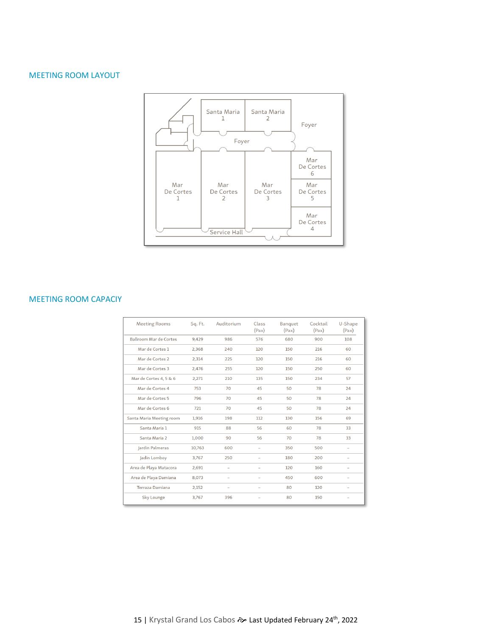## MEETING ROOM LAYOUT



#### MEETING ROOM CAPACIY

<span id="page-14-0"></span>

| <b>Meeting Rooms</b>          | Sq. Ft. | Auditorium               | Class<br>(Pax)           | Banquet<br>(Pax) | Cocktail<br>(Pax) | U-Shape<br>(Pax)         |
|-------------------------------|---------|--------------------------|--------------------------|------------------|-------------------|--------------------------|
| <b>Ballroom Mar de Cortes</b> | 9,429   | 986                      | 576                      | 680              | 900               | 108                      |
| Mar de Cortes 1               | 2,368   | 240                      | 120                      | 150              | 216               | 60                       |
| Mar de Cortes 2               | 2,314   | 225                      | 120                      | 150              | 216               | 60                       |
| Mar de Cortes 3               | 2,476   | 255                      | 120                      | 150              | 250               | 60                       |
| Mar de Cortes 4, 5 & 6        | 2,271   | 210                      | 135                      | 150              | 234               | 57                       |
| Mar de Cortes 4               | 753     | 70                       | 45                       | 50               | 78                | 24                       |
| Mar de Cortes 5               | 796     | 70                       | 45                       | 50               | 78                | 24                       |
| Mar de Cortes 6               | 721     | 70                       | 45                       | 50               | 78                | 24                       |
| Santa Maria Meeting room      | 1,916   | 198                      | 112                      | 130              | 156               | 69                       |
| Santa Maria 1                 | 915     | 88                       | 56                       | 60               | 78                | 33                       |
| Santa Maria 2                 | 1,000   | 90                       | 56                       | 70               | 78                | 33                       |
| Jardin Palmeras               | 10,763  | 600                      | $\overline{\phantom{0}}$ | 350              | 500               | $\overline{\phantom{0}}$ |
| Jadin Lomboy                  | 3,767   | 250                      |                          | 180              | 200               | $\overline{\phantom{0}}$ |
| Area de Playa Matacora        | 2,691   | $\overline{\phantom{0}}$ |                          | 120              | 160               |                          |
| Area de Playa Damiana         | 8,073   |                          |                          | 450              | 600               |                          |
| <b>Terraza Damiana</b>        | 2,152   | $\overline{\phantom{0}}$ |                          | 80               | 120               |                          |
| <b>Sky Lounge</b>             | 3,767   | 396                      |                          | 80               | 150               |                          |